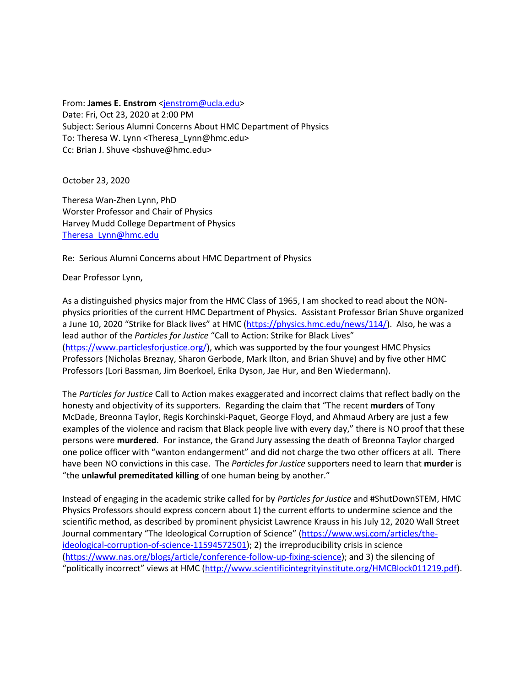From: **James E. Enstrom** [<jenstrom@ucla.edu>](mailto:jenstrom@ucla.edu) Date: Fri, Oct 23, 2020 at 2:00 PM Subject: Serious Alumni Concerns About HMC Department of Physics To: Theresa W. Lynn <Theresa\_Lynn@hmc.edu> Cc: Brian J. Shuve <bshuve@hmc.edu>

October 23, 2020

Theresa Wan-Zhen Lynn, PhD Worster Professor and Chair of Physics Harvey Mudd College Department of Physics [Theresa\\_Lynn@hmc.edu](mailto:Theresa_Lynn@hmc.edu)

Re: Serious Alumni Concerns about HMC Department of Physics

Dear Professor Lynn,

As a distinguished physics major from the HMC Class of 1965, I am shocked to read about the NONphysics priorities of the current HMC Department of Physics. Assistant Professor Brian Shuve organized a June 10, 2020 "Strike for Black lives" at HMC ([https://physics.hmc.edu/news/114/\)](https://physics.hmc.edu/news/114/). Also, he was a lead author of the *Particles for Justice* "Call to Action: Strike for Black Lives" [\(https://www.particlesforjustice.org/\)](https://www.particlesforjustice.org/), which was supported by the four youngest HMC Physics Professors (Nicholas Breznay, Sharon Gerbode, Mark Ilton, and Brian Shuve) and by five other HMC Professors (Lori Bassman, Jim Boerkoel, Erika Dyson, Jae Hur, and Ben Wiedermann).

The *Particles for Justice* Call to Action makes exaggerated and incorrect claims that reflect badly on the honesty and objectivity of its supporters. Regarding the claim that "The recent **murders** of Tony McDade, Breonna Taylor, Regis Korchinski-Paquet, George Floyd, and Ahmaud Arbery are just a few examples of the violence and racism that Black people live with every day," there is NO proof that these persons were **murdered**. For instance, the Grand Jury assessing the death of Breonna Taylor charged one police officer with "wanton endangerment" and did not charge the two other officers at all. There have been NO convictions in this case. The *Particles for Justice* supporters need to learn that **murder** is "the **unlawful premeditated killing** of one human being by another."

Instead of engaging in the academic strike called for by *Particles for Justice* and #ShutDownSTEM, HMC Physics Professors should express concern about 1) the current efforts to undermine science and the scientific method, as described by prominent physicist Lawrence Krauss in his July 12, 2020 Wall Street Journal commentary "The Ideological Corruption of Science" ([https://www.wsj.com/articles/the](https://www.wsj.com/articles/the-ideological-corruption-of-science-11594572501)[ideological-corruption-of-science-11594572501\)](https://www.wsj.com/articles/the-ideological-corruption-of-science-11594572501); 2) the irreproducibility crisis in science [\(https://www.nas.org/blogs/article/conference-follow-up-fixing-science\)](https://www.nas.org/blogs/article/conference-follow-up-fixing-science); and 3) the silencing of "politically incorrect" views at HMC ([http://www.scientificintegrityinstitute.org/HMCBlock011219.pdf\)](http://scientificintegrityinstitute.org/HMCBlock011219.pdf).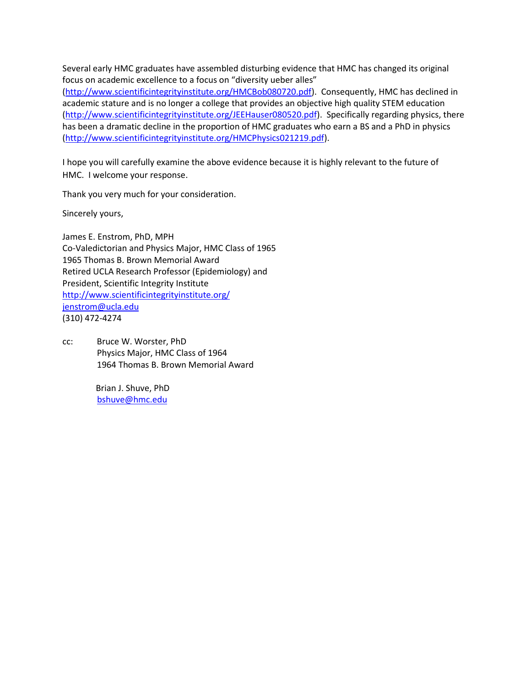Several early HMC graduates have assembled disturbing evidence that HMC has changed its original focus on academic excellence to a focus on "diversity ueber alles" [\(http://www.scientificintegrityinstitute.org/HMCBob080720.pdf\)](http://scientificintegrityinstitute.org/HMCBob080720.pdf). Consequently, HMC has declined in academic stature and is no longer a college that provides an objective high quality STEM education [\(http://www.scientificintegrityinstitute.org/JEEHauser080520.pdf\)](http://scientificintegrityinstitute.org/JEEHauser080520.pdf). Specifically regarding physics, there has been a dramatic decline in the proportion of HMC graduates who earn a BS and a PhD in physics [\(http://www.scientificintegrityinstitute.org/HMCPhysics021219.pdf\)](http://scientificintegrityinstitute.org/HMCPhysics021219.pdf).

I hope you will carefully examine the above evidence because it is highly relevant to the future of HMC. I welcome your response.

Thank you very much for your consideration.

Sincerely yours,

James E. Enstrom, PhD, MPH Co-Valedictorian and Physics Major, HMC Class of 1965 1965 Thomas B. Brown Memorial Award Retired UCLA Research Professor (Epidemiology) and President, Scientific Integrity Institute <http://www.scientificintegrityinstitute.org/> [jenstrom@ucla.edu](mailto:jenstrom@ucla.edu) (310) 472-4274

cc: Bruce W. Worster, PhD Physics Major, HMC Class of 1964 1964 Thomas B. Brown Memorial Award

> Brian J. Shuve, PhD [bshuve@hmc.edu](mailto:bshuve@hmc.edu)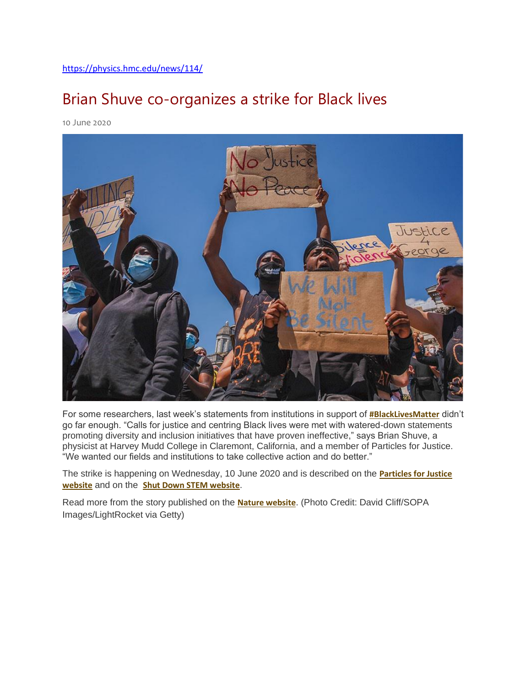#### Brian Shuve co-organizes a strike for Black lives

10 June 2020



For some researchers, last week's statements from institutions in support of **[#BlackLivesMatter](https://twitter.com/hashtag/BlackLivesMatter)** didn't go far enough. "Calls for justice and centring Black lives were met with watered-down statements promoting diversity and inclusion initiatives that have proven ineffective," says Brian Shuve, a physicist at Harvey Mudd College in Claremont, California, and a member of Particles for Justice. "We wanted our fields and institutions to take collective action and do better."

The strike is happening on Wednesday, 10 June 2020 and is described on the **[Particles for Justice](https://www.particlesforjustice.org/)  [website](https://www.particlesforjustice.org/)** and on the **[Shut Down STEM website](https://www.shutdownstem.com/)**.

Read more from the story published on the **[Nature website](https://www.nature.com/articles/d41586-020-01721-x)**. (Photo Credit: David Cliff/SOPA Images/LightRocket via Getty)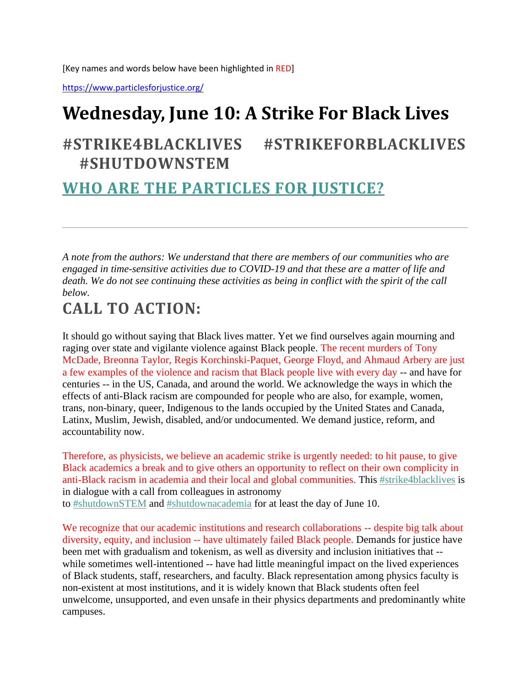[Key names and words below have been highlighted in RED]

<https://www.particlesforjustice.org/>

# **Wednesday, June 10: A Strike For Black Lives**

#### **#STRIKE4BLACKLIVES #STRIKEFORBLACKLIVES #SHUTDOWNSTEM**

#### **[WHO ARE THE PARTICLES FOR JUSTICE?](https://www.particlesforjustice.org/about)**

*A note from the authors: We understand that there are members of our communities who are engaged in time-sensitive activities due to COVID-19 and that these are a matter of life and death. We do not see continuing these activities as being in conflict with the spirit of the call below.*

#### **CALL TO ACTION:**

It should go without saying that Black lives matter. Yet we find ourselves again mourning and raging over state and vigilante violence against Black people. The recent murders of Tony McDade, Breonna Taylor, Regis Korchinski-Paquet, George Floyd, and Ahmaud Arbery are just a few examples of the violence and racism that Black people live with every day -- and have for centuries -- in the US, Canada, and around the world. We acknowledge the ways in which the effects of anti-Black racism are compounded for people who are also, for example, women, trans, non-binary, queer, Indigenous to the lands occupied by the United States and Canada, Latinx, Muslim, Jewish, disabled, and/or undocumented. We demand justice, reform, and accountability now.

Therefore, as physicists, we believe an academic strike is urgently needed: to hit pause, to give Black academics a break and to give others an opportunity to reflect on their own complicity in anti-Black racism in academia and their local and global communities. This [#strike4blacklives](https://www.particlesforjustice.org/strike-details) is in dialogue with a call from colleagues in astronomy to [#shutdownSTEM](http://www.shutdownstem.com/) and [#shutdownacademia](http://www.shutdownstem.com/) for at least the day of June 10.

We recognize that our academic institutions and research collaborations -- despite big talk about diversity, equity, and inclusion -- have ultimately failed Black people. Demands for justice have been met with gradualism and tokenism, as well as diversity and inclusion initiatives that - while sometimes well-intentioned -- have had little meaningful impact on the lived experiences of Black students, staff, researchers, and faculty. Black representation among physics faculty is non-existent at most institutions, and it is widely known that Black students often feel unwelcome, unsupported, and even unsafe in their physics departments and predominantly white campuses.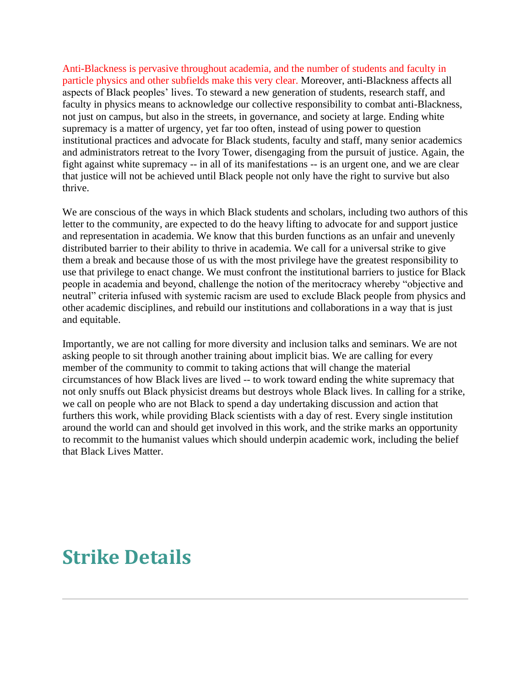Anti-Blackness is pervasive throughout academia, and the number of students and faculty in particle physics and other subfields make this very clear. Moreover, anti-Blackness affects all aspects of Black peoples' lives. To steward a new generation of students, research staff, and faculty in physics means to acknowledge our collective responsibility to combat anti-Blackness, not just on campus, but also in the streets, in governance, and society at large. Ending white supremacy is a matter of urgency, yet far too often, instead of using power to question institutional practices and advocate for Black students, faculty and staff, many senior academics and administrators retreat to the Ivory Tower, disengaging from the pursuit of justice. Again, the fight against white supremacy -- in all of its manifestations -- is an urgent one, and we are clear that justice will not be achieved until Black people not only have the right to survive but also thrive.

We are conscious of the ways in which Black students and scholars, including two authors of this letter to the community, are expected to do the heavy lifting to advocate for and support justice and representation in academia. We know that this burden functions as an unfair and unevenly distributed barrier to their ability to thrive in academia. We call for a universal strike to give them a break and because those of us with the most privilege have the greatest responsibility to use that privilege to enact change. We must confront the institutional barriers to justice for Black people in academia and beyond, challenge the notion of the meritocracy whereby "objective and neutral" criteria infused with systemic racism are used to exclude Black people from physics and other academic disciplines, and rebuild our institutions and collaborations in a way that is just and equitable.

Importantly, we are not calling for more diversity and inclusion talks and seminars. We are not asking people to sit through another training about implicit bias. We are calling for every member of the community to commit to taking actions that will change the material circumstances of how Black lives are lived -- to work toward ending the white supremacy that not only snuffs out Black physicist dreams but destroys whole Black lives. In calling for a strike, we call on people who are not Black to spend a day undertaking discussion and action that furthers this work, while providing Black scientists with a day of rest. Every single institution around the world can and should get involved in this work, and the strike marks an opportunity to recommit to the humanist values which should underpin academic work, including the belief that Black Lives Matter.

### **[Strike Details](https://www.particlesforjustice.org/strike-details)**